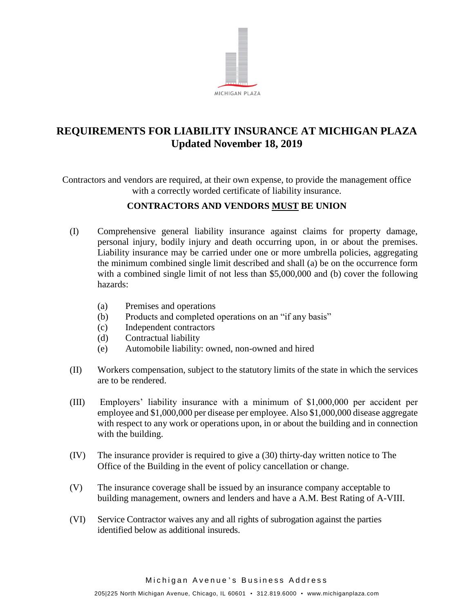

## **REQUIREMENTS FOR LIABILITY INSURANCE AT MICHIGAN PLAZA Updated November 18, 2019**

Contractors and vendors are required, at their own expense, to provide the management office with a correctly worded certificate of liability insurance.

## **CONTRACTORS AND VENDORS MUST BE UNION**

- (I) Comprehensive general liability insurance against claims for property damage, personal injury, bodily injury and death occurring upon, in or about the premises. Liability insurance may be carried under one or more umbrella policies, aggregating the minimum combined single limit described and shall (a) be on the occurrence form with a combined single limit of not less than \$5,000,000 and (b) cover the following hazards:
	- (a) Premises and operations
	- (b) Products and completed operations on an "if any basis"
	- (c) Independent contractors
	- (d) Contractual liability
	- (e) Automobile liability: owned, non-owned and hired
- (II) Workers compensation, subject to the statutory limits of the state in which the services are to be rendered.
- (III) Employers' liability insurance with a minimum of \$1,000,000 per accident per employee and \$1,000,000 per disease per employee. Also \$1,000,000 disease aggregate with respect to any work or operations upon, in or about the building and in connection with the building.
- (IV) The insurance provider is required to give a (30) thirty-day written notice to The Office of the Building in the event of policy cancellation or change.
- (V) The insurance coverage shall be issued by an insurance company acceptable to building management, owners and lenders and have a A.M. Best Rating of A-VIII.
- (VI) Service Contractor waives any and all rights of subrogation against the parties identified below as additional insureds.